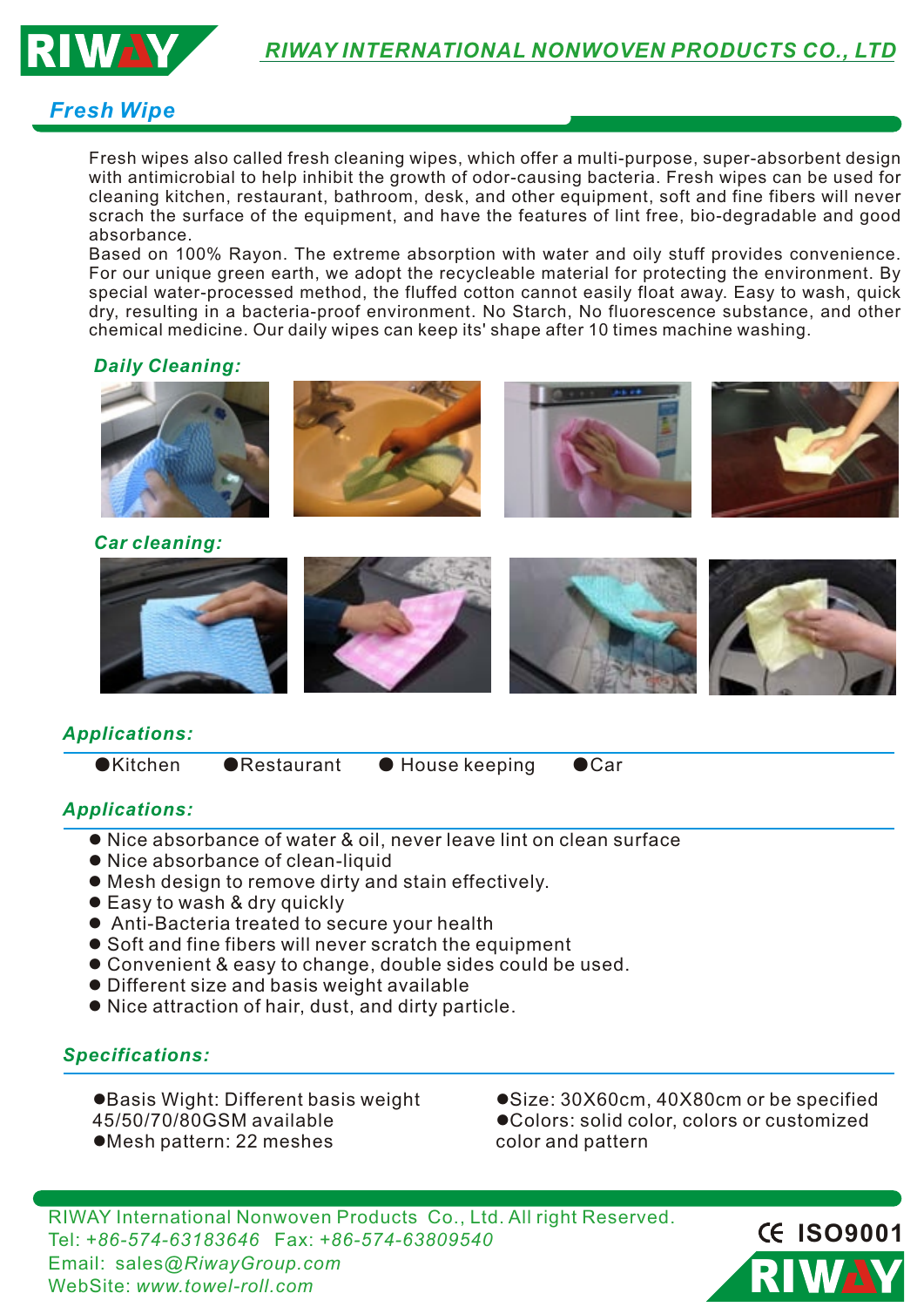

## *Fresh Wipe*

Fresh wipes also called fresh cleaning wipes, which offer a multi-purpose, super-absorbent design with antimicrobial to help inhibit the growth of odor-causing bacteria. Fresh wipes can be used for cleaning kitchen, restaurant, bathroom, desk, and other equipment, soft and fine fibers will never scrach the surface of the equipment, and have the features of lint free, bio-degradable and good absorbance.

Based on 100% Rayon. The extreme absorption with water and oily stuff provides convenience. For our unique green earth, we adopt the recycleable material for protecting the environment. By special water-processed method, the fluffed cotton cannot easily float away. Easy to wash, quick dry, resulting in a bacteria-proof environment. No Starch, No fluorescence substance, and other chemical medicine. Our daily wipes can keep its' shape after 10 times machine washing.

## *Daily Cleaning:*





# *Applications:*

●Kitchen ● Restaurant ● House keeping ● Car

### *Applications:*

- Nice absorbance of water & oil, never leave lint on clean surface
- Nice absorbance of clean-liquid
- $\bullet$  Mesh design to remove dirty and stain effectively.
- Easy to wash & dry quickly
- Anti-Bacteria treated to secure your health
- Soft and fine fibers will never scratch the equipment
- **Convenient & easy to change, double sides could be used.**
- **•** Different size and basis weight available
- $\bullet$  Nice attraction of hair, dust, and dirty particle.

### *Specifications:*

- **.**Basis Wight: Different basis weight 45/50/70/80GSM available ●Mesh pattern: 22 meshes
- ●Size: 30X60cm, 40X80cm or be specified  $\bullet$ Colors: solid color, colors or customized color and pattern

 RIWAY International Nonwoven Products Co., Ltd. All right Reserved. Tel: *+86-574-63183646* Fax: *+86-574-63809540*  Email: sales*@RiwayGroup.com* WebSite: *www.towel-roll.com*